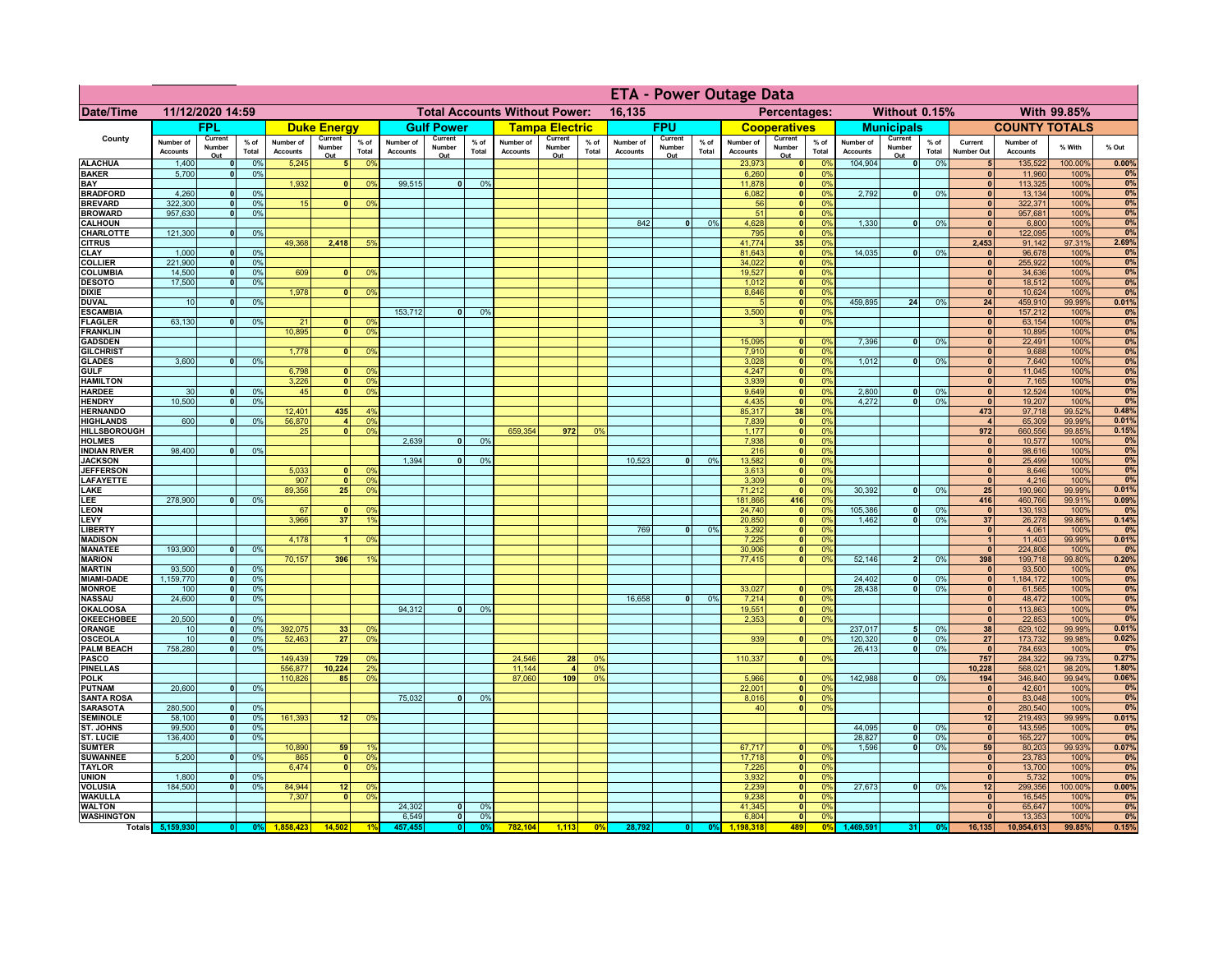|                                      |                              |                                  |                 |                              |                          |                                      | <b>ETA - Power Outage Data</b> |                          |                 |                              |                          |                |                              |                          |               |                              |                           |                       |                              |                          |                 |                              |                              |                |             |
|--------------------------------------|------------------------------|----------------------------------|-----------------|------------------------------|--------------------------|--------------------------------------|--------------------------------|--------------------------|-----------------|------------------------------|--------------------------|----------------|------------------------------|--------------------------|---------------|------------------------------|---------------------------|-----------------------|------------------------------|--------------------------|-----------------|------------------------------|------------------------------|----------------|-------------|
| <b>Date/Time</b>                     | 11/12/2020 14:59             |                                  |                 |                              |                          | <b>Total Accounts Without Power:</b> |                                |                          |                 | 16,135                       | Percentages:             |                |                              |                          |               | Without 0.15%<br>With 99.85% |                           |                       |                              |                          |                 |                              |                              |                |             |
|                                      |                              | FPL                              |                 |                              | <b>Duke Energy</b>       |                                      |                                | <b>Gulf Power</b>        |                 |                              | <b>Tampa Electric</b>    |                |                              | <b>FPU</b>               |               |                              | <b>Cooperatives</b>       |                       |                              | <b>Municipals</b>        |                 |                              | <b>COUNTY TOTALS</b>         |                |             |
| County                               | Number of<br><b>Accounts</b> | Current<br>Number<br>Out         | $%$ of<br>Total | Number of<br><b>Accounts</b> | Current<br>Number<br>Out | $%$ of<br>Total                      | Number of<br><b>Accounts</b>   | Current<br>Number<br>Out | $%$ of<br>Total | Number of<br><b>Accounts</b> | Current<br>Number<br>Out | % of<br>Total  | Number of<br><b>Accounts</b> | Current<br>Number<br>Out | % of<br>Total | Number of<br><b>Accounts</b> | Current<br>Number<br>Out  | $%$ of<br>Total       | Number of<br><b>Accounts</b> | Current<br>Number<br>Out | $%$ of<br>Total | Current<br>Number Out        | Number of<br><b>Accounts</b> | % With         | % Out       |
| <b>ALACHUA</b>                       | 1,400                        | $\mathbf{0}$                     | 0%              | 5,245                        | 5 <sub>1</sub>           | 0 <sup>9</sup>                       |                                |                          |                 |                              |                          |                |                              |                          |               | 23,973                       | 0                         | 0 <sup>9</sup>        | 104,904                      | $\overline{\bullet}$     | 0%              | 5 <sub>l</sub>               | 135,522                      | 100.00%        | 0.00%       |
| <b>BAKER</b><br>BAY                  | 5,700                        | $\Omega$                         | 0%              | 1,932                        | $\mathbf{0}$             | 0 <sup>9</sup>                       | 99,515                         | $\overline{0}$           | 0%              |                              |                          |                |                              |                          |               | 6,260<br>11,878              | 0 <br> 0                  | 0 <sup>9</sup><br>0%  |                              |                          |                 | $\mathbf{0}$<br>$\mathbf{0}$ | 11,960<br>113,325            | 100%<br>100%   | 0%<br>0%    |
| <b>BRADFORD</b>                      | 4,260                        | $\mathbf{0}$                     | 0%              |                              |                          |                                      |                                |                          |                 |                              |                          |                |                              |                          |               | 6,082                        | $\mathbf{0}$              | 0%                    | 2,792                        | 0                        | 0%              | $\mathbf{0}$                 | 13,134                       | 100%           | 0%          |
| <b>BREVARD</b>                       | 322,300                      | $\mathbf{0}$                     | 0%              | 15                           | 0                        | 0%                                   |                                |                          |                 |                              |                          |                |                              |                          |               | 56                           | 0                         | 0%                    |                              |                          |                 | 0                            | 322,371                      | 100%           | 0%          |
| <b>BROWARD</b><br><b>CALHOUN</b>     | 957,630                      | $\mathbf{0}$                     | 0%              |                              |                          |                                      |                                |                          |                 |                              |                          |                | 842                          | $\mathbf{0}$             | 0%            | 51<br>4,628                  | 0 <br> 0                  | 0%<br>0%              | 1,330                        | -ol                      | 0%              | $\mathbf{0}$<br>$\mathbf{0}$ | 957,681<br>6,800             | 100%<br>100%   | 0%<br>0%    |
| CHARLOTTE                            | 121,300                      | 0                                | 0%              |                              |                          |                                      |                                |                          |                 |                              |                          |                |                              |                          |               | 795                          | 0                         | 0%                    |                              |                          |                 | $\mathbf{0}$                 | 122,095                      | 100%           | 0%          |
| <b>CITRUS</b><br><b>CLAY</b>         | 1,000                        |                                  | 0%              | 49,368                       | 2,418                    | 5%                                   |                                |                          |                 |                              |                          |                |                              |                          |               | 41,774<br>81,643             | 35<br> 0                  | 0 <sup>9</sup><br>0%  | 14,035                       | -ol                      | 0%              | 2,453<br>$\mathbf{0}$        | 91,142<br>96,678             | 97.31%<br>100% | 2.69%<br>0% |
| <b>COLLIER</b>                       | 221,900                      |                                  | 0%              |                              |                          |                                      |                                |                          |                 |                              |                          |                |                              |                          |               | 34,022                       | 0                         | 0%                    |                              |                          |                 | $\mathbf{0}$                 | 255,922                      | 100%           | 0%          |
| <b>COLUMBIA</b>                      | 14,500                       |                                  | 0%              | 609                          |                          | 0 <sup>9</sup>                       |                                |                          |                 |                              |                          |                |                              |                          |               | 19,527                       | $\mathbf{0}$              | 0%                    |                              |                          |                 | $\mathbf{0}$                 | 34,636                       | 100%           | 0%          |
| <b>DESOTO</b><br><b>DIXIE</b>        | 17,500                       | $\Omega$                         | 0%              | 1,978                        | $\mathbf{0}$             | 0 <sup>9</sup>                       |                                |                          |                 |                              |                          |                |                              |                          |               | 1,012<br>8,646               | $\pmb{0}$<br>$\mathbf{0}$ | 0%<br>0%              |                              |                          |                 | $\mathbf{0}$<br>$\sqrt{2}$   | 18,512<br>10,624             | 100%<br>100%   | 0%<br>0%    |
| <b>DUVAL</b>                         | 10                           |                                  | 0%              |                              |                          |                                      |                                |                          |                 |                              |                          |                |                              |                          |               |                              | 0                         | 0%                    | 459,895                      | 24                       | 0%              | 24                           | 459,910                      | 99.99%         | 0.01%       |
| <b>ESCAMBIA</b>                      |                              |                                  |                 |                              |                          |                                      | 153,712                        | $\mathbf{0}$             | 0%              |                              |                          |                |                              |                          |               | 3,500                        | 0                         | 0%                    |                              |                          |                 | $\mathbf{0}$                 | 157,212                      | 100%           | 0%          |
| <b>FLAGLER</b><br><b>FRANKLIN</b>    | 63,130                       | $\mathbf{0}$                     | 0%              | 21<br>10,895                 | $\mathbf{0}$<br>$\Omega$ | 0 <sup>9</sup><br>0 <sup>9</sup>     |                                |                          |                 |                              |                          |                |                              |                          |               | $\mathbf{B}$                 | 0                         | 0%                    |                              |                          |                 | 0 <br>$\mathbf{0}$           | 63,154<br>10,895             | 100%<br>100%   | 0%<br>0%    |
| <b>GADSDEN</b>                       |                              |                                  |                 |                              |                          |                                      |                                |                          |                 |                              |                          |                |                              |                          |               | 15.095                       | 0                         | 0%                    | 7,396                        | -ol                      | 0%              | 0                            | 22,491                       | 100%           | 0%          |
| <b>GILCHRIST</b>                     |                              |                                  |                 | 1.778                        | $\overline{0}$           | 0 <sup>9</sup>                       |                                |                          |                 |                              |                          |                |                              |                          |               | 7,910                        | $\overline{\mathbf{0}}$   | 0%                    |                              |                          |                 | $\overline{0}$               | 9,688                        | 100%           | 0%          |
| <b>GLADES</b><br><b>GULF</b>         | 3,600                        | $\Omega$                         | 0%              | 6,798                        | $\mathbf{0}$             | 0 <sup>9</sup>                       |                                |                          |                 |                              |                          |                |                              |                          |               | 3,028<br>4,247               | 0 <br> 0                  | 0%<br>0%              | 1,012                        | $\overline{\mathbf{0}}$  | 0%              | 0 <br>$\mathbf{0}$           | 7,640<br>11,045              | 100%<br>100%   | 0%<br>0%    |
| <b>HAMILTON</b>                      |                              |                                  |                 | 3,226                        | 0                        | 0 <sup>9</sup>                       |                                |                          |                 |                              |                          |                |                              |                          |               | 3,939                        | 0                         | 0%                    |                              |                          |                 | $\mathbf{0}$                 | 7,165                        | 100%           | 0%          |
| <b>HARDEE</b>                        | 30                           | 0                                | 0%              | 45                           | $\overline{\mathbf{0}}$  | 0%                                   |                                |                          |                 |                              |                          |                |                              |                          |               | 9,649                        | 0                         | 0%                    | 2,800                        | $\mathbf{0}$             | 0%              | $\mathbf{0}$                 | 12,524                       | 100%           | 0%          |
| <b>HENDRY</b><br><b>HERNANDO</b>     | 10.500                       | $\overline{0}$                   | 0%              | 12,401                       | 435                      | 4 <sup>o</sup>                       |                                |                          |                 |                              |                          |                |                              |                          |               | 4,435<br>85,317              | 0 <br>38                  | 0%<br>0%              | 4.272                        | $\overline{0}$           | 0%              | $\overline{0}$<br>473        | 19,207<br>97,718             | 100%<br>99.52% | 0%<br>0.48% |
| <b>HIGHLANDS</b>                     | 600                          | $\Omega$                         | 0%              | 56,870                       | $\overline{4}$           | 0 <sup>9</sup>                       |                                |                          |                 |                              |                          |                |                              |                          |               | 7,839                        | 0                         | 0%                    |                              |                          |                 | $\overline{4}$               | 65,309                       | 99.99%         | 0.01%       |
| <b>HILLSBOROUGH</b>                  |                              |                                  |                 | 25                           | $\mathbf{0}$             | 0 <sup>9</sup>                       |                                |                          |                 | 659,354                      | 972                      | 0 <sup>9</sup> |                              |                          |               | 1,177                        | 0                         | 0%                    |                              |                          |                 | 972                          | 660,556                      | 99.85%         | 0.15%       |
| <b>HOLMES</b><br><b>INDIAN RIVER</b> | 98,400                       |                                  | 0%              |                              |                          |                                      | 2,639                          |                          | 0%              |                              |                          |                |                              |                          |               | 7,938<br>216                 | 0 <br> 0                  | 0%<br>0%              |                              |                          |                 | $\mathbf{0}$<br> 0           | 10,577<br>98,616             | 100%<br>100%   | 0%<br>0%    |
| <b>JACKSON</b>                       |                              |                                  |                 |                              |                          |                                      | 1,394                          |                          | 0%              |                              |                          |                | 10,523                       | $\Omega$                 | 0%            | 13,582                       | 0                         | 0%                    |                              |                          |                 | 0                            | 25,499                       | 100%           | 0%          |
| <b>JEFFERSON</b>                     |                              |                                  |                 | 5,033                        | O.                       | 0 <sup>9</sup>                       |                                |                          |                 |                              |                          |                |                              |                          |               | 3,613                        | $\mathbf{0}$              | 0%                    |                              |                          |                 | 0                            | 8,646                        | 100%           | 0%          |
| <b>LAFAYETTE</b><br>LAKE             |                              |                                  |                 | 907<br>89,356                | $\mathbf{0}$<br>25       | 0 <sup>9</sup><br>0 <sup>9</sup>     |                                |                          |                 |                              |                          |                |                              |                          |               | 3,309<br>71,212              | 0 <br> 0                  | 0%<br>0%              | 30,392                       | $\overline{0}$           | 0%              | 0 <br>25                     | 4,216<br>190,960             | 100%<br>99.99% | 0%<br>0.01% |
| LEE                                  | 278,900                      | $\Omega$                         | 0%              |                              |                          |                                      |                                |                          |                 |                              |                          |                |                              |                          |               | 181,866                      | 416                       | 0%                    |                              |                          |                 | 416                          | 460,766                      | 99.91%         | 0.09%       |
| <b>LEON</b>                          |                              |                                  |                 | 67                           | $\mathbf{0}$             | 0 <sup>9</sup>                       |                                |                          |                 |                              |                          |                |                              |                          |               | 24,740                       | 0                         | 0%                    | 105,386                      | $\overline{0}$           | 0%              | 0                            | 130,193                      | 100%           | 0%          |
| LEVY<br><b>LIBERTY</b>               |                              |                                  |                 | 3,966                        | 37 <sup>1</sup>          | 1 <sup>9</sup>                       |                                |                          |                 |                              |                          |                | 769                          | 0                        | 0%            | 20,850<br>3,292              | 0 <br> 0                  | 0%<br>0%              | 1,462                        | - O I                    | 0%              | 37<br> 0                     | 26,278<br>4,061              | 99.86%<br>100% | 0.14%<br>0% |
| <b>MADISON</b>                       |                              |                                  |                 | 4,178                        | $\blacktriangleleft$     | 0 <sup>9</sup>                       |                                |                          |                 |                              |                          |                |                              |                          |               | 7,225                        | 0                         | 0%                    |                              |                          |                 | $\vert$ 1                    | 11,403                       | 99.99%         | 0.01%       |
| <b>MANATEE</b>                       | 193,900                      | 0                                | 0%              |                              |                          |                                      |                                |                          |                 |                              |                          |                |                              |                          |               | 30,906                       | 0                         | 0%                    |                              |                          |                 | 0                            | 224,806                      | 100%           | 0%          |
| <b>MARION</b><br><b>MARTIN</b>       | 93,500                       | 0                                | 0%              | 70,157                       | 396                      | 19                                   |                                |                          |                 |                              |                          |                |                              |                          |               | 77,415                       | 0                         | 0%                    | 52,146                       | 2                        | 0%              | 398<br> 0                    | 199,718<br>93,500            | 99.80%<br>100% | 0.20%<br>0% |
| <b>MIAMI-DADE</b>                    | 1,159,770                    | 0                                | 0%              |                              |                          |                                      |                                |                          |                 |                              |                          |                |                              |                          |               |                              |                           |                       | 24,402                       | -ol                      | 0%              | 0                            | 1,184,172                    | 100%           | 0%          |
| <b>MONROE</b>                        | 100                          | 0                                | 0%              |                              |                          |                                      |                                |                          |                 |                              |                          |                |                              |                          |               | 33,027                       | 0                         | $\Omega$ <sup>9</sup> | 28,438                       | - O I                    | 0%              | 0                            | 61,565                       | 100%           | 0%          |
| <b>NASSAU</b><br><b>OKALOOSA</b>     | 24,600                       | 0                                | 0%              |                              |                          |                                      | 94,312                         | 0                        | 0%              |                              |                          |                | 16,658                       | 0                        | 0%            | 7,214<br>19,551              | 0 <br> 0                  | 0%<br>0%              |                              |                          |                 | 0 <br> 0                     | 48,472<br>113,863            | 100%<br>100%   | 0%<br>0%    |
| <b>OKEECHOBEE</b>                    | 20,500                       | - O I                            | 0%              |                              |                          |                                      |                                |                          |                 |                              |                          |                |                              |                          |               | 2,353                        | 0                         | 0%                    |                              |                          |                 | 0                            | 22,853                       | 100%           | 0%          |
| <b>ORANGE</b>                        | 10                           | 0                                | 0%              | 392,075                      | 33                       | 0 <sup>9</sup>                       |                                |                          |                 |                              |                          |                |                              |                          |               |                              |                           |                       | 237,017                      | 5 <sub>5</sub>           | 0%              | 38                           | 629,102                      | 99.99%         | 0.01%       |
| <b>OSCEOLA</b><br><b>PALM BEACH</b>  | 10<br>758,280                | - O I<br>$\overline{\mathbf{0}}$ | 0%<br>0%        | 52,463                       | 27                       | 0 <sup>9</sup>                       |                                |                          |                 |                              |                          |                |                              |                          |               | 939                          | 0                         | 0%                    | 120,320<br>26,413            | $\mathbf{0}$<br>- o l    | 0%<br>0%        | 27<br> 0                     | 173,732<br>784,693           | 99.98%<br>100% | 0.02%<br>0% |
| <b>PASCO</b>                         |                              |                                  |                 | 149,439                      | 729                      | 0 <sup>9</sup>                       |                                |                          |                 | 24,546                       | 28                       | 0 <sup>o</sup> |                              |                          |               | 110,337                      | 0                         | 0%                    |                              |                          |                 | 757                          | 284,322                      | 99.73%         | 0.27%       |
| <b>PINELLAS</b>                      |                              |                                  |                 | 556,877                      | 10,224                   | 2 <sup>0</sup>                       |                                |                          |                 | 11,144                       | $\overline{\mathbf{A}}$  | 0 <sup>9</sup> |                              |                          |               |                              |                           |                       |                              |                          |                 | 10,228                       | 568,021                      | 98.20%         | 1.80%       |
| <b>POLK</b><br><b>PUTNAM</b>         | 20,600                       | 0                                | 0%              | 110,826                      | 85                       | 0%                                   |                                |                          |                 | 87,060                       | 109                      | 0 <sup>9</sup> |                              |                          |               | 5,966<br>22,001              | 0 <br> 0                  | $\Omega$<br>0%        | 142,988                      | 0                        | 0%              | 194<br> 0                    | 346,840<br>42,601            | 99.94%<br>100% | 0.06%<br>0% |
| <b>SANTA ROSA</b>                    |                              |                                  |                 |                              |                          |                                      | 75,032                         | $\mathbf{0}$             | 0%              |                              |                          |                |                              |                          |               | 8,016                        | 0                         | 0%                    |                              |                          |                 | 0                            | 83,048                       | 100%           | 0%          |
| <b>SARASOTA</b>                      | 280,500                      | $\mathbf{0}$                     | 0%              |                              |                          |                                      |                                |                          |                 |                              |                          |                |                              |                          |               | 40                           | 0                         | 0%                    |                              |                          |                 | 0                            | 280,540                      | 100%           | 0%          |
| <b>SEMINOLE</b><br>ST. JOHNS         | 58,100<br>99,500             | $\mathbf{0}$<br>$\mathbf{0}$     | 0%<br>0%        | 161,393                      | 12                       | 0 <sup>9</sup>                       |                                |                          |                 |                              |                          |                |                              |                          |               |                              |                           |                       | 44,095                       | $\mathbf{0}$             | 0%              | 12<br> 0                     | 219,493<br>143,595           | 99.99%<br>100% | 0.01%<br>0% |
| <b>ST. LUCIE</b>                     | 136,400                      | $\mathbf{0}$                     | 0%              |                              |                          |                                      |                                |                          |                 |                              |                          |                |                              |                          |               |                              |                           |                       | 28,827                       | 0                        | 0%              | $\mathbf{0}$                 | 165,227                      | 100%           | 0%          |
| <b>SUMTER</b>                        |                              |                                  |                 | 10,890                       | 59                       |                                      |                                |                          |                 |                              |                          |                |                              |                          |               | 67,717<br>17,718             | $\mathbf{0}$              | 0 <sup>9</sup>        | 1,596                        | $\overline{0}$           | 0%              | 59                           | 80,203                       | 99.93%         | 0.07%       |
| <b>SUWANNEE</b><br><b>TAYLOR</b>     | 5,200                        | $\mathbf{0}$                     | 0%              | 865<br>6,474                 | 0 <br> 0                 | 0 <sup>9</sup><br>0 <sup>9</sup>     |                                |                          |                 |                              |                          |                |                              |                          |               | 7,226                        | 0 <br> 0                  | 0%<br>0%              |                              |                          |                 | $\mathbf{0}$<br>$\mathbf{0}$ | 23,783<br>13,700             | 100%<br>100%   | 0%<br>0%    |
| <b>UNION</b>                         | 1,800                        |                                  | 0%              |                              |                          |                                      |                                |                          |                 |                              |                          |                |                              |                          |               | 3,932                        | 0                         | 0%                    |                              |                          |                 | $\mathbf{0}$                 | 5,732                        | 100%           | 0%          |
| <b>VOLUSIA</b>                       | 184,500                      |                                  | 0%              | 84,944                       | 12                       | 0 <sup>9</sup>                       |                                |                          |                 |                              |                          |                |                              |                          |               | 2,239                        | 0                         | 0%                    | 27,673                       | 0                        | 0%              | 12                           | 299,356                      | 100.00%        | 0.00%       |
| <b>WAKULLA</b><br><b>WALTON</b>      |                              |                                  |                 | 7,307                        | - O I                    | 0 <sup>9</sup>                       | 24,302                         | 0                        | 0%              |                              |                          |                |                              |                          |               | 9,238<br>41,345              | 0 <br> 0                  | 0%<br>0%              |                              |                          |                 | $\mathbf{0}$<br>$\mathbf{0}$ | 16,545<br>65,647             | 100%<br>100%   | 0%<br>0%    |
| <b>WASHINGTON</b>                    |                              |                                  |                 |                              |                          |                                      | 6,549                          | $\overline{\mathbf{0}}$  | 0%              |                              |                          |                |                              |                          |               | 6,804                        | $\overline{\mathbf{0}}$   | 0%                    |                              |                          |                 | 0                            | 13,353                       | 100%           | 0%          |
|                                      | Totals 5,159,930             |                                  | 0%<br>0         |                              | 14,502                   | $\mathbf{1}$                         | 457,455                        | 0                        | 0 <sup>9</sup>  | 782,104                      | 1,113                    | 0 <sup>9</sup> | 28,792                       |                          | 0%            | 1.198.318                    | 489                       | 0 <sup>9</sup>        | 1,469,591                    | 31                       |                 | 16, 135                      | 10,954,613                   | 99.85%         | 0.15%       |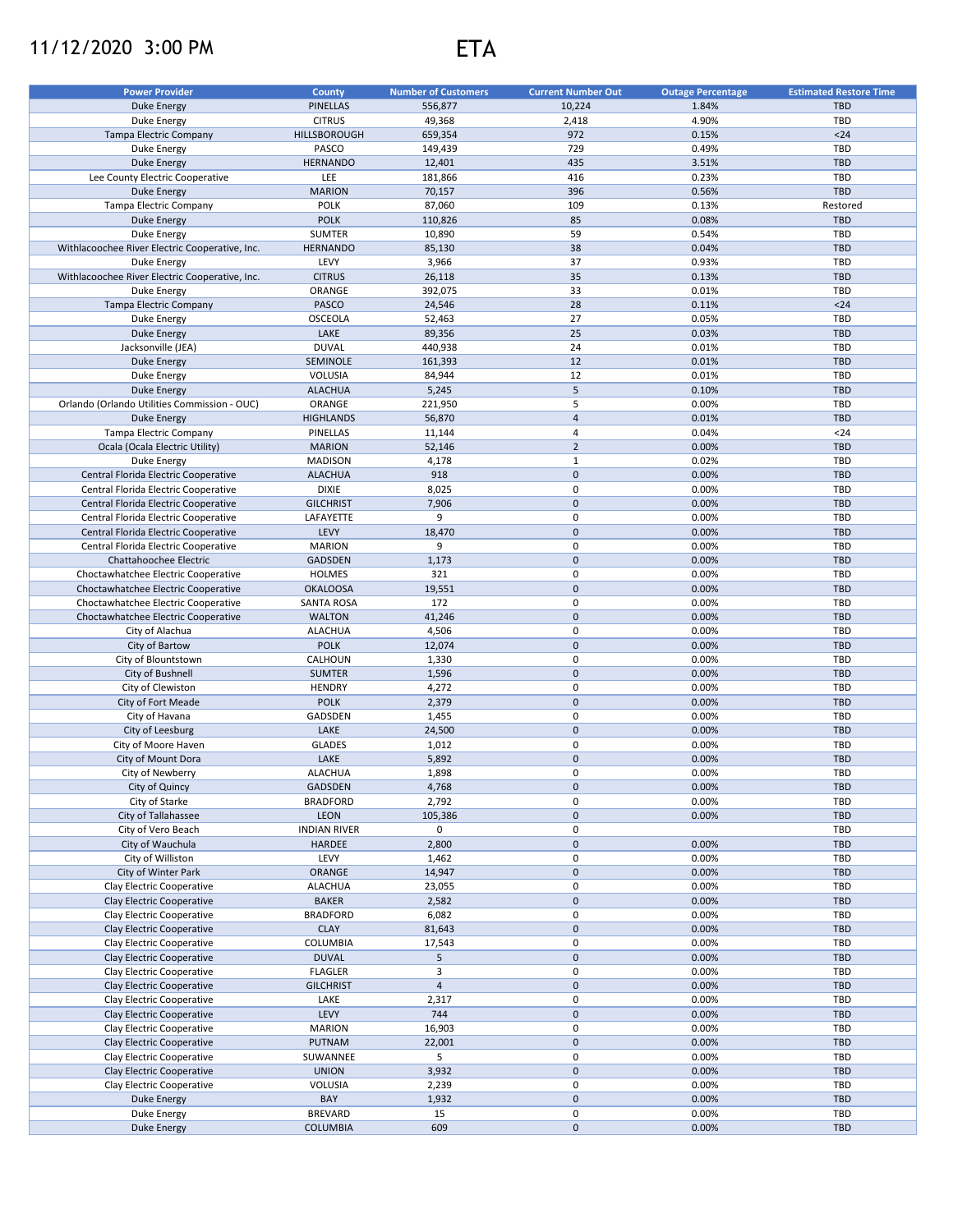## 11/12/2020 3:00 PM ETA



| <b>Power Provider</b>                          | <b>County</b>       | <b>Number of Customers</b> | <b>Current Number Out</b> | <b>Outage Percentage</b> | <b>Estimated Restore Time</b> |
|------------------------------------------------|---------------------|----------------------------|---------------------------|--------------------------|-------------------------------|
|                                                |                     |                            |                           |                          |                               |
| Duke Energy                                    | <b>PINELLAS</b>     | 556,877                    | 10,224                    | 1.84%                    | <b>TBD</b>                    |
| Duke Energy                                    | <b>CITRUS</b>       | 49,368                     | 2,418                     | 4.90%                    | TBD                           |
| Tampa Electric Company                         | HILLSBOROUGH        | 659,354                    | 972                       | 0.15%                    | $24$                          |
| Duke Energy                                    | PASCO               | 149,439                    | 729                       | 0.49%                    | TBD                           |
| Duke Energy                                    | <b>HERNANDO</b>     | 12,401                     | 435                       | 3.51%                    | <b>TBD</b>                    |
| Lee County Electric Cooperative                | LEE                 | 181,866                    | 416                       | 0.23%                    | TBD                           |
|                                                |                     |                            |                           |                          |                               |
| Duke Energy                                    | <b>MARION</b>       | 70,157                     | 396                       | 0.56%                    | <b>TBD</b>                    |
| Tampa Electric Company                         | <b>POLK</b>         | 87,060                     | 109                       | 0.13%                    | Restored                      |
| Duke Energy                                    | <b>POLK</b>         | 110,826                    | 85                        | 0.08%                    | <b>TBD</b>                    |
| Duke Energy                                    | <b>SUMTER</b>       | 10,890                     | 59                        | 0.54%                    | TBD                           |
| Withlacoochee River Electric Cooperative, Inc. | <b>HERNANDO</b>     | 85,130                     | 38                        | 0.04%                    | <b>TBD</b>                    |
|                                                |                     |                            |                           |                          |                               |
| Duke Energy                                    | LEVY                | 3,966                      | 37                        | 0.93%                    | TBD                           |
| Withlacoochee River Electric Cooperative, Inc. | <b>CITRUS</b>       | 26,118                     | 35                        | 0.13%                    | <b>TBD</b>                    |
| Duke Energy                                    | ORANGE              | 392,075                    | 33                        | 0.01%                    | TBD                           |
| <b>Tampa Electric Company</b>                  | PASCO               | 24,546                     | 28                        | 0.11%                    | $24$                          |
| Duke Energy                                    | <b>OSCEOLA</b>      | 52,463                     | 27                        | 0.05%                    | TBD                           |
| Duke Energy                                    | LAKE                | 89,356                     | 25                        | 0.03%                    | <b>TBD</b>                    |
|                                                |                     |                            |                           |                          |                               |
| Jacksonville (JEA)                             | <b>DUVAL</b>        | 440,938                    | 24                        | 0.01%                    | TBD                           |
| Duke Energy                                    | SEMINOLE            | 161,393                    | 12                        | 0.01%                    | <b>TBD</b>                    |
| Duke Energy                                    | <b>VOLUSIA</b>      | 84,944                     | 12                        | 0.01%                    | TBD                           |
| Duke Energy                                    | <b>ALACHUA</b>      | 5,245                      | 5                         | 0.10%                    | <b>TBD</b>                    |
| Orlando (Orlando Utilities Commission - OUC)   | ORANGE              | 221,950                    | 5                         | 0.00%                    | <b>TBD</b>                    |
|                                                |                     |                            |                           |                          |                               |
| Duke Energy                                    | <b>HIGHLANDS</b>    | 56,870                     | $\overline{4}$            | 0.01%                    | <b>TBD</b>                    |
| Tampa Electric Company                         | PINELLAS            | 11,144                     | $\overline{4}$            | 0.04%                    | $24$                          |
| Ocala (Ocala Electric Utility)                 | <b>MARION</b>       | 52,146                     | $\overline{2}$            | 0.00%                    | <b>TBD</b>                    |
| Duke Energy                                    | <b>MADISON</b>      | 4,178                      | $1\,$                     | 0.02%                    | TBD                           |
| Central Florida Electric Cooperative           | <b>ALACHUA</b>      | 918                        | $\mathbf 0$               | 0.00%                    | <b>TBD</b>                    |
|                                                |                     |                            |                           |                          |                               |
| Central Florida Electric Cooperative           | <b>DIXIE</b>        | 8,025                      | 0                         | 0.00%                    | TBD                           |
| Central Florida Electric Cooperative           | <b>GILCHRIST</b>    | 7,906                      | $\mathbf 0$               | 0.00%                    | <b>TBD</b>                    |
| Central Florida Electric Cooperative           | LAFAYETTE           | 9                          | 0                         | 0.00%                    | TBD                           |
| Central Florida Electric Cooperative           | LEVY                | 18,470                     | $\pmb{0}$                 | 0.00%                    | <b>TBD</b>                    |
| Central Florida Electric Cooperative           | <b>MARION</b>       | 9                          | $\mathsf 0$               | 0.00%                    | <b>TBD</b>                    |
|                                                |                     |                            |                           |                          |                               |
| Chattahoochee Electric                         | <b>GADSDEN</b>      | 1,173                      | $\mathbf 0$               | 0.00%                    | <b>TBD</b>                    |
| Choctawhatchee Electric Cooperative            | <b>HOLMES</b>       | 321                        | 0                         | 0.00%                    | TBD                           |
| Choctawhatchee Electric Cooperative            | <b>OKALOOSA</b>     | 19,551                     | $\mathbf 0$               | 0.00%                    | <b>TBD</b>                    |
| Choctawhatchee Electric Cooperative            | <b>SANTA ROSA</b>   | 172                        | 0                         | 0.00%                    | TBD                           |
| Choctawhatchee Electric Cooperative            | <b>WALTON</b>       | 41,246                     | $\mathbf 0$               | 0.00%                    | <b>TBD</b>                    |
| City of Alachua                                | <b>ALACHUA</b>      | 4,506                      | 0                         | 0.00%                    | TBD                           |
|                                                |                     |                            |                           |                          |                               |
| City of Bartow                                 | <b>POLK</b>         | 12,074                     | $\mathsf{O}\xspace$       | 0.00%                    | <b>TBD</b>                    |
| City of Blountstown                            | CALHOUN             | 1,330                      | 0                         | 0.00%                    | TBD                           |
| City of Bushnell                               | <b>SUMTER</b>       | 1,596                      | $\mathbf 0$               | 0.00%                    | <b>TBD</b>                    |
| City of Clewiston                              | <b>HENDRY</b>       | 4,272                      | 0                         | 0.00%                    | TBD                           |
| City of Fort Meade                             | <b>POLK</b>         | 2,379                      | $\mathsf{O}\xspace$       | 0.00%                    | <b>TBD</b>                    |
|                                                |                     |                            | $\mathsf 0$               |                          |                               |
| City of Havana                                 | GADSDEN             | 1,455                      |                           | 0.00%                    | TBD                           |
| City of Leesburg                               | LAKE                | 24,500                     | $\mathbf 0$               | 0.00%                    | <b>TBD</b>                    |
| City of Moore Haven                            | <b>GLADES</b>       | 1,012                      | $\pmb{0}$                 | 0.00%                    | TBD                           |
| City of Mount Dora                             | LAKE                | 5,892                      | $\pmb{0}$                 | 0.00%                    | <b>TBD</b>                    |
| City of Newberry                               | <b>ALACHUA</b>      | 1,898                      | $\mathbf 0$               | 0.00%                    | TBD                           |
| City of Quincy                                 | GADSDEN             | 4,768                      | $\mathbf 0$               | 0.00%                    | <b>TBD</b>                    |
|                                                |                     |                            |                           |                          |                               |
| City of Starke                                 | <b>BRADFORD</b>     | 2,792                      | 0                         | 0.00%                    | TBD                           |
| City of Tallahassee                            | LEON                | 105,386                    | $\mathsf{O}\xspace$       | 0.00%                    | <b>TBD</b>                    |
| City of Vero Beach                             | <b>INDIAN RIVER</b> | 0                          | 0                         |                          | TBD                           |
| City of Wauchula                               | HARDEE              | 2,800                      | $\mathsf{O}\xspace$       | 0.00%                    | <b>TBD</b>                    |
| City of Williston                              | LEVY                | 1,462                      | 0                         | 0.00%                    | TBD                           |
|                                                |                     |                            |                           |                          |                               |
| City of Winter Park                            | ORANGE              | 14,947                     | $\mathsf{O}\xspace$       | 0.00%                    | TBD                           |
| Clay Electric Cooperative                      | <b>ALACHUA</b>      | 23,055                     | 0                         | 0.00%                    | TBD                           |
| Clay Electric Cooperative                      | <b>BAKER</b>        | 2,582                      | $\mathsf{O}\xspace$       | 0.00%                    | <b>TBD</b>                    |
| Clay Electric Cooperative                      | <b>BRADFORD</b>     | 6,082                      | 0                         | 0.00%                    | TBD                           |
| Clay Electric Cooperative                      | <b>CLAY</b>         | 81,643                     | $\mathsf{O}\xspace$       | 0.00%                    | TBD                           |
| Clay Electric Cooperative                      | COLUMBIA            | 17,543                     | 0                         | 0.00%                    | TBD                           |
|                                                |                     |                            |                           |                          |                               |
| Clay Electric Cooperative                      | <b>DUVAL</b>        | 5                          | $\mathsf{O}\xspace$       | 0.00%                    | <b>TBD</b>                    |
| Clay Electric Cooperative                      | <b>FLAGLER</b>      | 3                          | 0                         | 0.00%                    | TBD                           |
| Clay Electric Cooperative                      | <b>GILCHRIST</b>    | $\overline{4}$             | $\mathsf{O}\xspace$       | 0.00%                    | <b>TBD</b>                    |
| Clay Electric Cooperative                      | LAKE                | 2,317                      | $\pmb{0}$                 | 0.00%                    | TBD                           |
| Clay Electric Cooperative                      | LEVY                | 744                        | $\mathsf{O}\xspace$       | 0.00%                    | <b>TBD</b>                    |
|                                                |                     |                            |                           |                          |                               |
| Clay Electric Cooperative                      | <b>MARION</b>       | 16,903                     | $\pmb{0}$                 | 0.00%                    | TBD                           |
| Clay Electric Cooperative                      | <b>PUTNAM</b>       | 22,001                     | $\mathsf{O}\xspace$       | 0.00%                    | <b>TBD</b>                    |
| Clay Electric Cooperative                      | SUWANNEE            | 5                          | $\pmb{0}$                 | 0.00%                    | TBD                           |
| Clay Electric Cooperative                      | <b>UNION</b>        | 3,932                      | $\pmb{0}$                 | 0.00%                    | TBD                           |
| Clay Electric Cooperative                      | <b>VOLUSIA</b>      | 2,239                      | $\mathsf 0$               | 0.00%                    | TBD                           |
| Duke Energy                                    | BAY                 | 1,932                      | $\pmb{0}$                 | 0.00%                    | <b>TBD</b>                    |
|                                                |                     |                            |                           |                          |                               |
| Duke Energy                                    | <b>BREVARD</b>      | 15                         | $\pmb{0}$                 | 0.00%                    | TBD                           |
| <b>Duke Energy</b>                             | COLUMBIA            | 609                        | $\pmb{0}$                 | 0.00%                    | TBD                           |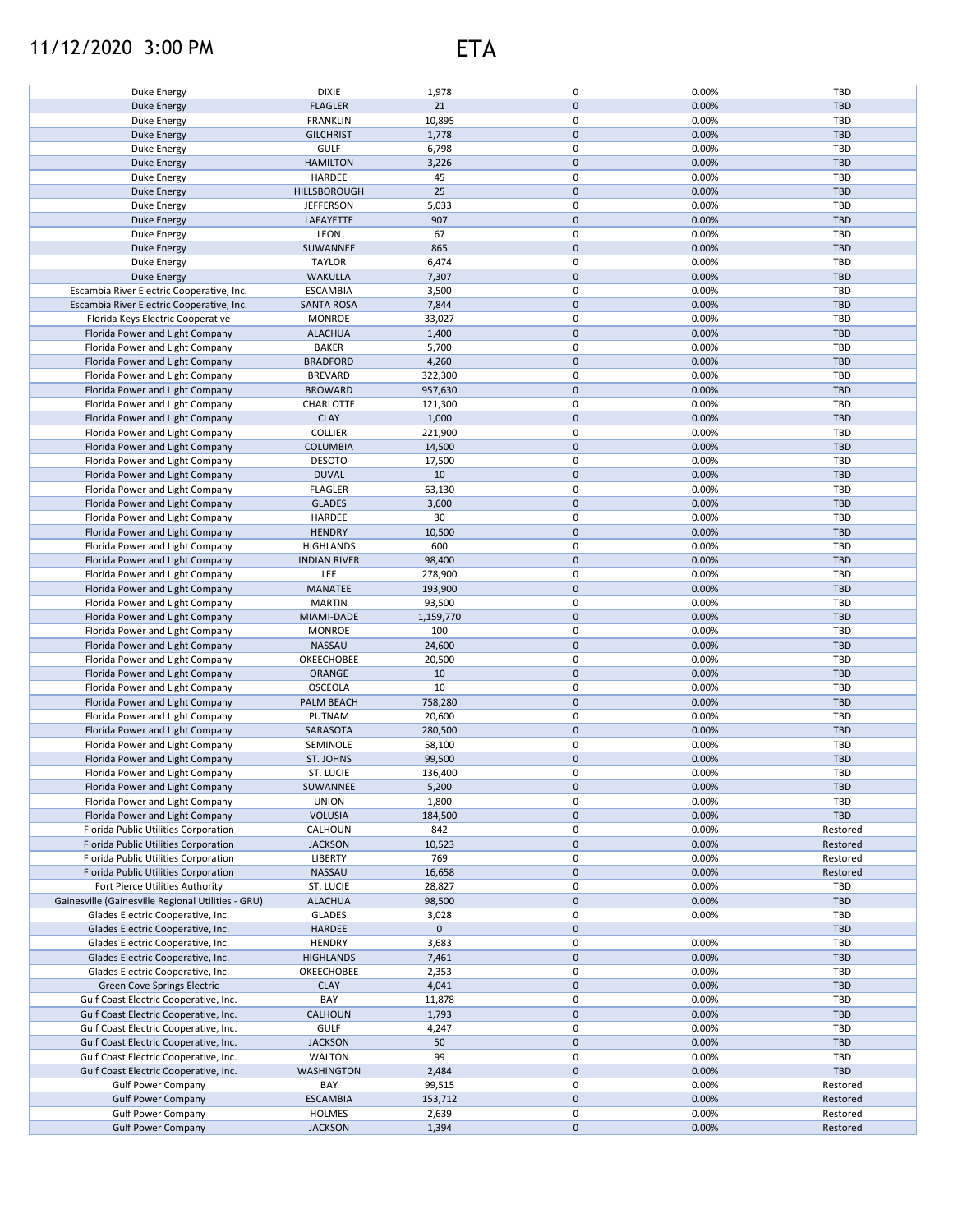## 11/12/2020 3:00 PM ETA



| Duke Energy                                        | <b>DIXIE</b>        | 1,978       | 0                   | 0.00% | <b>TBD</b> |
|----------------------------------------------------|---------------------|-------------|---------------------|-------|------------|
| <b>Duke Energy</b>                                 | <b>FLAGLER</b>      | 21          | 0                   | 0.00% | <b>TBD</b> |
|                                                    |                     |             |                     |       |            |
| Duke Energy                                        | <b>FRANKLIN</b>     | 10,895      | 0                   | 0.00% | TBD        |
| Duke Energy                                        | <b>GILCHRIST</b>    | 1,778       | 0                   | 0.00% | <b>TBD</b> |
| Duke Energy                                        | <b>GULF</b>         | 6,798       | 0                   | 0.00% | <b>TBD</b> |
|                                                    |                     |             |                     |       |            |
| <b>Duke Energy</b>                                 | <b>HAMILTON</b>     | 3,226       | $\mathbf 0$         | 0.00% | <b>TBD</b> |
| Duke Energy                                        | HARDEE              | 45          | 0                   | 0.00% | <b>TBD</b> |
| <b>Duke Energy</b>                                 | HILLSBOROUGH        | 25          | $\mathbf 0$         | 0.00% | <b>TBD</b> |
|                                                    |                     |             | 0                   |       | TBD        |
| Duke Energy                                        | <b>JEFFERSON</b>    | 5,033       |                     | 0.00% |            |
| Duke Energy                                        | LAFAYETTE           | 907         | $\mathbf 0$         | 0.00% | <b>TBD</b> |
| Duke Energy                                        | LEON                | 67          | $\mathsf 0$         | 0.00% | TBD        |
| <b>Duke Energy</b>                                 | SUWANNEE            | 865         | $\pmb{0}$           | 0.00% | <b>TBD</b> |
|                                                    |                     |             |                     |       |            |
| Duke Energy                                        | <b>TAYLOR</b>       | 6,474       | $\pmb{0}$           | 0.00% | TBD        |
| <b>Duke Energy</b>                                 | <b>WAKULLA</b>      | 7,307       | $\pmb{0}$           | 0.00% | <b>TBD</b> |
| Escambia River Electric Cooperative, Inc.          | <b>ESCAMBIA</b>     | 3,500       | $\pmb{0}$           | 0.00% | <b>TBD</b> |
|                                                    |                     |             | $\mathsf{O}\xspace$ |       | <b>TBD</b> |
| Escambia River Electric Cooperative, Inc.          | <b>SANTA ROSA</b>   | 7,844       |                     | 0.00% |            |
| Florida Keys Electric Cooperative                  | <b>MONROE</b>       | 33,027      | $\pmb{0}$           | 0.00% | TBD        |
| Florida Power and Light Company                    | <b>ALACHUA</b>      | 1,400       | $\mathbf 0$         | 0.00% | <b>TBD</b> |
| Florida Power and Light Company                    | <b>BAKER</b>        | 5,700       | 0                   | 0.00% | TBD        |
|                                                    |                     |             |                     |       |            |
| Florida Power and Light Company                    | <b>BRADFORD</b>     | 4,260       | 0                   | 0.00% | <b>TBD</b> |
| Florida Power and Light Company                    | <b>BREVARD</b>      | 322,300     | 0                   | 0.00% | TBD        |
| Florida Power and Light Company                    | <b>BROWARD</b>      | 957,630     | 0                   | 0.00% | <b>TBD</b> |
|                                                    |                     |             |                     |       |            |
| Florida Power and Light Company                    | CHARLOTTE           | 121,300     | 0                   | 0.00% | <b>TBD</b> |
| Florida Power and Light Company                    | <b>CLAY</b>         | 1,000       | $\mathbf 0$         | 0.00% | <b>TBD</b> |
| Florida Power and Light Company                    | <b>COLLIER</b>      | 221,900     | 0                   | 0.00% | TBD        |
|                                                    |                     |             | $\mathbf 0$         |       |            |
| Florida Power and Light Company                    | <b>COLUMBIA</b>     | 14,500      |                     | 0.00% | <b>TBD</b> |
| Florida Power and Light Company                    | <b>DESOTO</b>       | 17,500      | 0                   | 0.00% | TBD        |
| Florida Power and Light Company                    | <b>DUVAL</b>        | 10          | $\mathbf 0$         | 0.00% | <b>TBD</b> |
| Florida Power and Light Company                    | <b>FLAGLER</b>      | 63,130      | 0                   | 0.00% | TBD        |
|                                                    |                     |             |                     |       |            |
| Florida Power and Light Company                    | <b>GLADES</b>       | 3,600       | $\pmb{0}$           | 0.00% | <b>TBD</b> |
| Florida Power and Light Company                    | HARDEE              | 30          | 0                   | 0.00% | TBD        |
| Florida Power and Light Company                    | <b>HENDRY</b>       | 10,500      | $\mathbf 0$         | 0.00% | <b>TBD</b> |
|                                                    |                     |             | 0                   |       |            |
| Florida Power and Light Company                    | <b>HIGHLANDS</b>    | 600         |                     | 0.00% | TBD        |
| Florida Power and Light Company                    | <b>INDIAN RIVER</b> | 98,400      | $\mathbf 0$         | 0.00% | <b>TBD</b> |
| Florida Power and Light Company                    | LEE                 | 278,900     | 0                   | 0.00% | TBD        |
| Florida Power and Light Company                    | MANATEE             | 193,900     | $\mathbf 0$         | 0.00% | <b>TBD</b> |
|                                                    |                     |             |                     |       |            |
| Florida Power and Light Company                    | <b>MARTIN</b>       | 93,500      | $\pmb{0}$           | 0.00% | TBD        |
| Florida Power and Light Company                    | MIAMI-DADE          | 1,159,770   | $\pmb{0}$           | 0.00% | <b>TBD</b> |
| Florida Power and Light Company                    | <b>MONROE</b>       | 100         | 0                   | 0.00% | TBD        |
|                                                    |                     |             |                     |       |            |
| Florida Power and Light Company                    | NASSAU              | 24,600      | $\mathsf{O}\xspace$ | 0.00% | <b>TBD</b> |
| Florida Power and Light Company                    | OKEECHOBEE          | 20,500      | $\pmb{0}$           | 0.00% | TBD        |
| Florida Power and Light Company                    | ORANGE              | 10          | $\mathsf{O}\xspace$ | 0.00% | <b>TBD</b> |
|                                                    |                     | 10          | $\pmb{0}$           | 0.00% | TBD        |
| Florida Power and Light Company                    | <b>OSCEOLA</b>      |             |                     |       |            |
| Florida Power and Light Company                    | PALM BEACH          | 758,280     | 0                   | 0.00% | <b>TBD</b> |
| Florida Power and Light Company                    | PUTNAM              | 20,600      | 0                   | 0.00% | <b>TBD</b> |
| Florida Power and Light Company                    | SARASOTA            | 280,500     | 0                   | 0.00% | <b>TBD</b> |
|                                                    |                     |             |                     |       |            |
| Florida Power and Light Company                    | SEMINOLE            | 58,100      | 0                   | 0.00% | <b>TBD</b> |
| Florida Power and Light Company                    | ST. JOHNS           | 99,500      | $\mathbf 0$         | 0.00% | <b>TBD</b> |
| Florida Power and Light Company                    | ST. LUCIE           | 136,400     | 0                   | 0.00% | TBD        |
|                                                    |                     |             |                     |       |            |
| Florida Power and Light Company                    | SUWANNEE            | 5,200       | $\pmb{0}$           | 0.00% | <b>TBD</b> |
| Florida Power and Light Company                    | <b>UNION</b>        | 1,800       | 0                   | 0.00% | TBD        |
| Florida Power and Light Company                    | <b>VOLUSIA</b>      | 184,500     | 0                   | 0.00% | TBD        |
| Florida Public Utilities Corporation               | CALHOUN             | 842         | 0                   | 0.00% | Restored   |
|                                                    |                     |             |                     |       |            |
| Florida Public Utilities Corporation               | <b>JACKSON</b>      | 10,523      | 0                   | 0.00% | Restored   |
| Florida Public Utilities Corporation               | LIBERTY             | 769         | 0                   | 0.00% | Restored   |
| Florida Public Utilities Corporation               | NASSAU              | 16,658      | 0                   | 0.00% | Restored   |
|                                                    |                     |             |                     |       |            |
| Fort Pierce Utilities Authority                    | ST. LUCIE           | 28,827      | 0                   | 0.00% | TBD        |
| Gainesville (Gainesville Regional Utilities - GRU) | <b>ALACHUA</b>      | 98,500      | $\pmb{0}$           | 0.00% | <b>TBD</b> |
| Glades Electric Cooperative, Inc.                  | <b>GLADES</b>       | 3,028       | 0                   | 0.00% | TBD        |
| Glades Electric Cooperative, Inc.                  | <b>HARDEE</b>       | $\mathbf 0$ | 0                   |       | <b>TBD</b> |
|                                                    |                     |             |                     |       |            |
| Glades Electric Cooperative, Inc.                  | <b>HENDRY</b>       | 3,683       | 0                   | 0.00% | TBD        |
| Glades Electric Cooperative, Inc.                  | <b>HIGHLANDS</b>    | 7,461       | $\pmb{0}$           | 0.00% | <b>TBD</b> |
| Glades Electric Cooperative, Inc.                  | OKEECHOBEE          | 2,353       | 0                   | 0.00% | TBD        |
|                                                    |                     |             |                     |       |            |
| Green Cove Springs Electric                        | <b>CLAY</b>         | 4,041       | $\pmb{0}$           | 0.00% | TBD        |
| Gulf Coast Electric Cooperative, Inc.              | BAY                 | 11,878      | 0                   | 0.00% | TBD        |
| Gulf Coast Electric Cooperative, Inc.              | CALHOUN             | 1,793       | 0                   | 0.00% | <b>TBD</b> |
|                                                    |                     |             |                     |       |            |
| Gulf Coast Electric Cooperative, Inc.              | <b>GULF</b>         | 4,247       | 0                   | 0.00% | <b>TBD</b> |
| Gulf Coast Electric Cooperative, Inc.              | <b>JACKSON</b>      | 50          | 0                   | 0.00% | TBD        |
| Gulf Coast Electric Cooperative, Inc.              | <b>WALTON</b>       | 99          | 0                   | 0.00% | TBD        |
| Gulf Coast Electric Cooperative, Inc.              | <b>WASHINGTON</b>   | 2,484       | 0                   | 0.00% | TBD        |
|                                                    |                     |             |                     |       |            |
| <b>Gulf Power Company</b>                          | BAY                 | 99,515      | 0                   | 0.00% | Restored   |
| <b>Gulf Power Company</b>                          | <b>ESCAMBIA</b>     | 153,712     | 0                   | 0.00% | Restored   |
| <b>Gulf Power Company</b>                          | <b>HOLMES</b>       | 2,639       | 0                   | 0.00% | Restored   |
|                                                    |                     |             |                     |       |            |
| <b>Gulf Power Company</b>                          | <b>JACKSON</b>      | 1,394       | 0                   | 0.00% | Restored   |